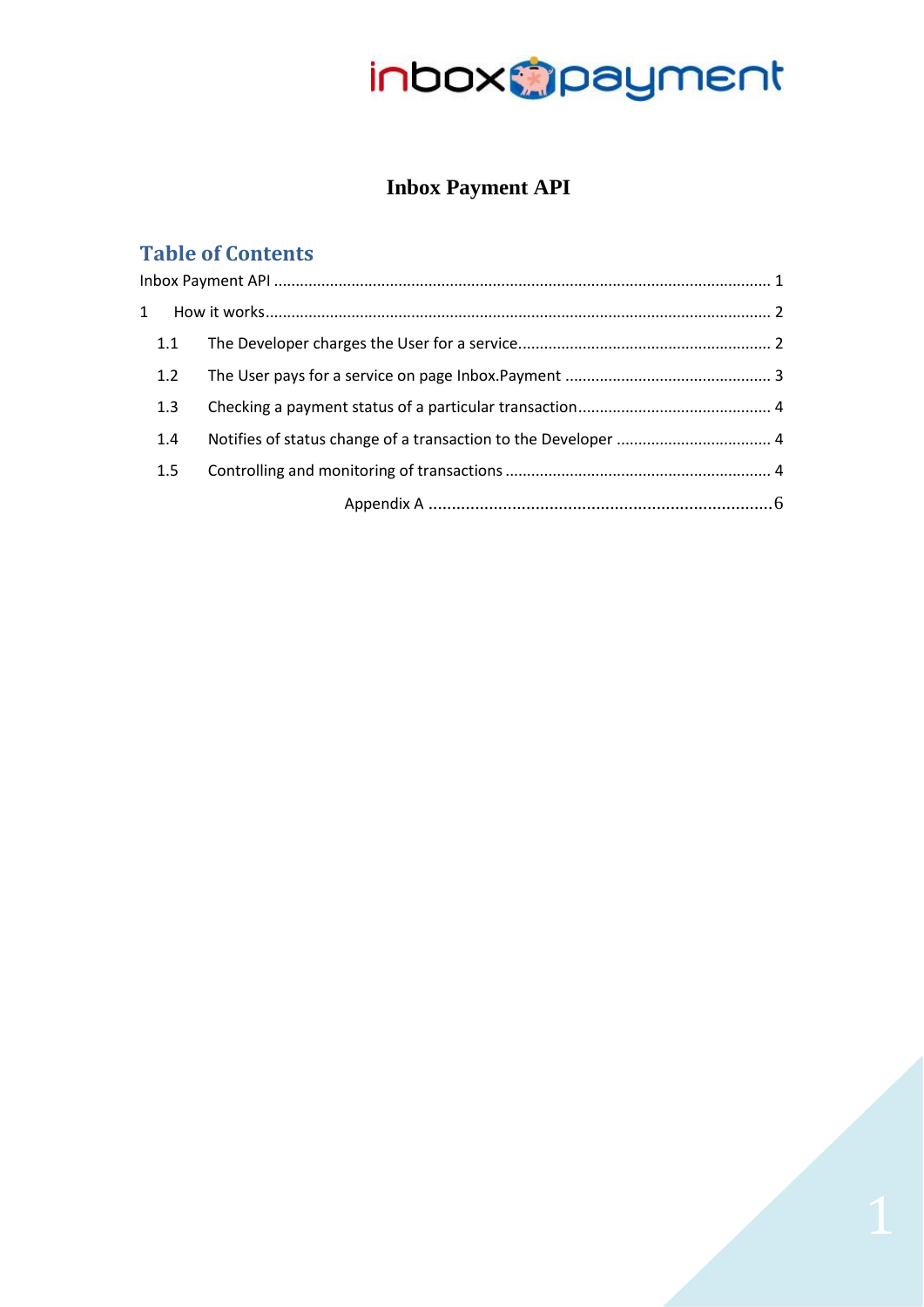### **Inbox Payment API**

### <span id="page-0-0"></span>**Table of Contents**

| 1.1 |  |  |  |  |
|-----|--|--|--|--|
| 1.2 |  |  |  |  |
| 1.3 |  |  |  |  |
| 1.4 |  |  |  |  |
| 1.5 |  |  |  |  |
|     |  |  |  |  |

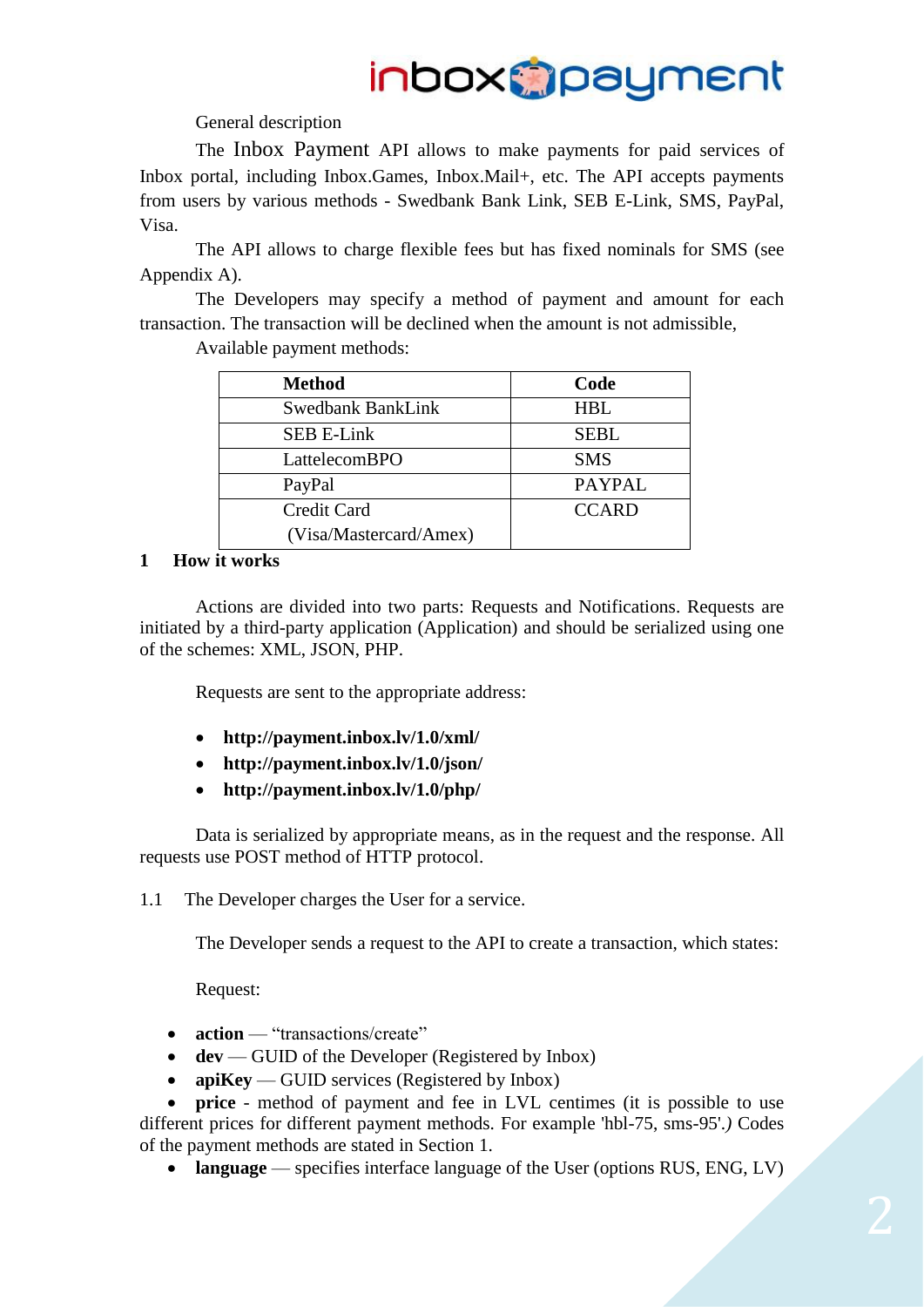General description

The Inbox Payment API allows to make payments for paid services of Inbox portal, including Inbox.Games, Inbox.Mail+, etc. The API accepts payments from users by various methods - Swedbank Bank Link, SEB E-Link, SMS, PayPal, Visa.

The API allows to charge flexible fees but has fixed nominals for SMS (see Appendix A).

The Developers may specify a method of payment and amount for each transaction. The transaction will be declined when the amount is not admissible,

Available payment methods:

| <b>Method</b>          | Code          |
|------------------------|---------------|
| Swedbank BankLink      | HBL           |
| <b>SEB E-Link</b>      | <b>SEBL</b>   |
| LattelecomBPO          | <b>SMS</b>    |
| PayPal                 | <b>PAYPAL</b> |
| Credit Card            | <b>CCARD</b>  |
| (Visa/Mastercard/Amex) |               |

#### <span id="page-1-0"></span>**1 How it works**

Actions are divided into two parts: Requests and Notifications. Requests are initiated by a third-party application (Application) and should be serialized using one of the schemes: XML, JSON, PHP.

Requests are sent to the appropriate address:

- **http://payment.inbox.lv/1.0/xml/**
- **http://payment.inbox.lv/1.0/json/**
- **http://payment.inbox.lv/1.0/php/**

Data is serialized by appropriate means, as in the request and the response. All requests use POST method of HTTP protocol.

<span id="page-1-1"></span>1.1 The Developer charges the User for a service.

The Developer sends a request to the API to create a transaction, which states:

Request:

- **action** "transactions/create"
- **dev** GUID of the Developer (Registered by Inbox)
- **apiKey** GUID services (Registered by Inbox)

**price** - method of payment and fee in LVL centimes (it is possible to use different prices for different payment methods. For example 'hbl-75, sms-95'.*)* Codes of the payment methods are stated in Section 1.

**language** — specifies interface language of the User (options RUS, ENG, LV)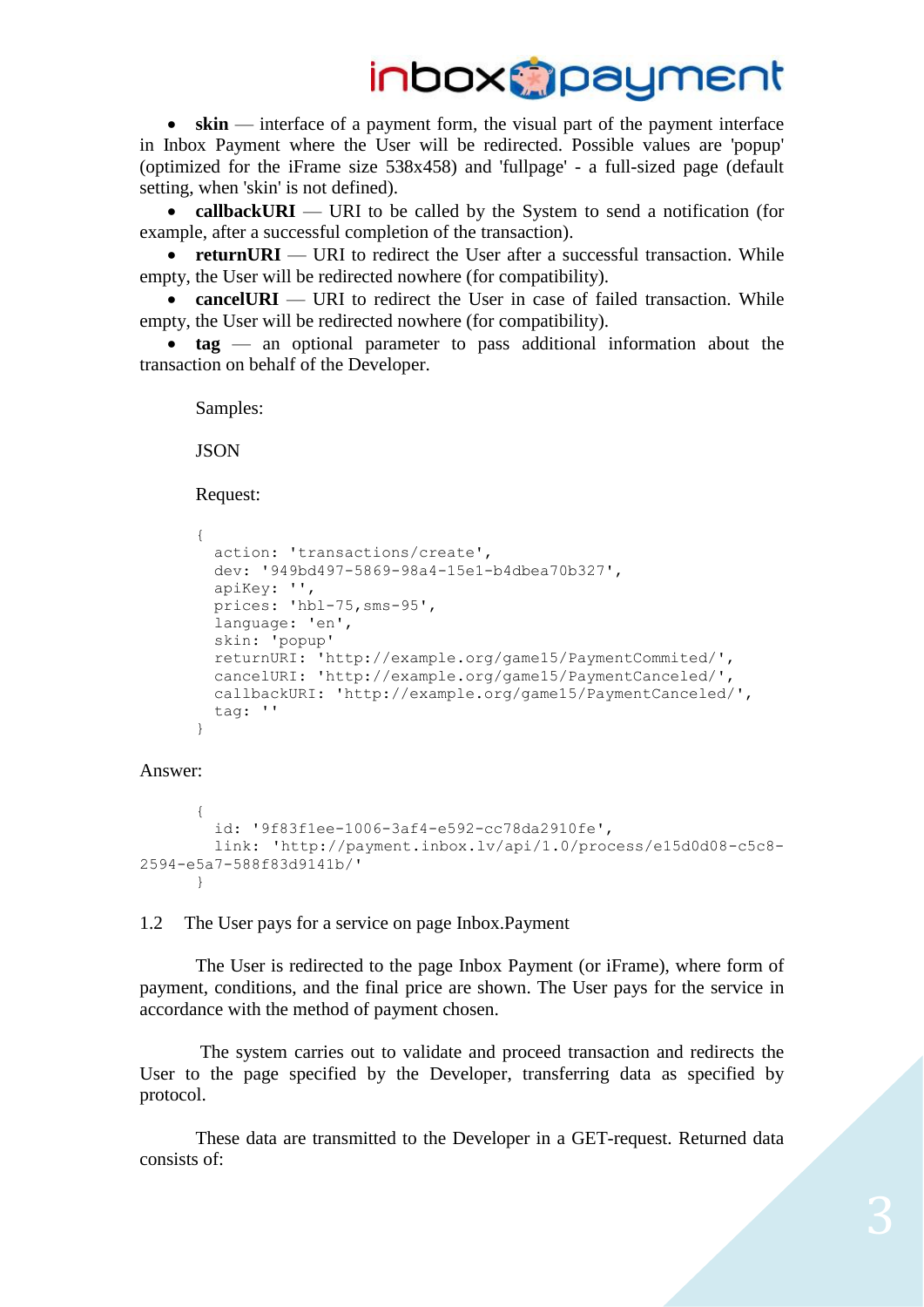**skin** — interface of a payment form, the visual part of the payment interface in Inbox Payment where the User will be redirected. Possible values are 'popup' (optimized for the iFrame size 538x458) and 'fullpage' - a full-sized page (default setting, when 'skin' is not defined).

• callbackURI — URI to be called by the System to send a notification (for example, after a successful completion of the transaction).

• **returnURI** — URI to redirect the User after a successful transaction. While empty, the User will be redirected nowhere (for compatibility).

• **cancelURI** — URI to redirect the User in case of failed transaction. While empty, the User will be redirected nowhere (for compatibility).

 **tag** — an optional parameter to pass additional information about the transaction on behalf of the Developer.

Samples:

JSON

Request:

```
{
  action: 'transactions/create', 
  dev: '949bd497-5869-98a4-15e1-b4dbea70b327', 
  apiKey: '',
  prices: 'hbl-75,sms-95',
  language: 'en',
  skin: 'popup'
  returnURI: 'http://example.org/game15/PaymentCommited/',
  cancelURI: 'http://example.org/game15/PaymentCanceled/',
  callbackURI: 'http://example.org/game15/PaymentCanceled/',
  tag: ''
}
```
Answer:

```
{
         id: '9f83f1ee-1006-3af4-e592-cc78da2910fe', 
         link: 'http://payment.inbox.lv/api/1.0/process/e15d0d08-c5c8-
2594-e5a7-588f83d9141b/'
      }
```
<span id="page-2-0"></span>1.2 The User pays for a service on page Inbox.Payment

The User is redirected to the page Inbox Payment (or iFrame), where form of payment, conditions, and the final price are shown. The User pays for the service in accordance with the method of payment chosen.

The system carries out to validate and proceed transaction and redirects the User to the page specified by the Developer, transferring data as specified by protocol.

These data are transmitted to the Developer in a GET-request. Returned data consists of: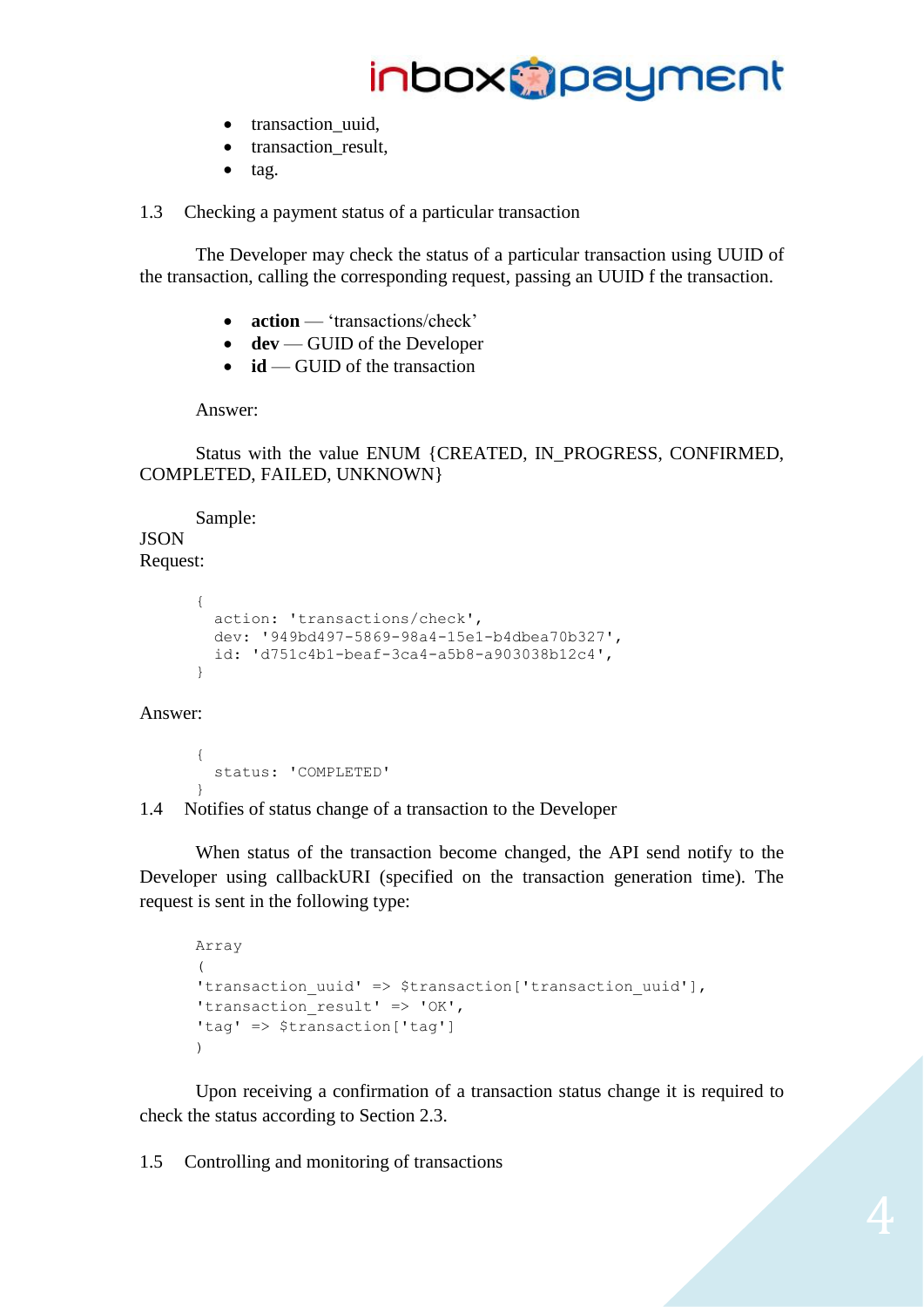

- transaction\_uuid,
- transaction\_result,
- $\bullet$  tag.

<span id="page-3-0"></span>1.3 Checking a payment status of a particular transaction

The Developer may check the status of a particular transaction using UUID of the transaction, calling the corresponding request, passing an UUID f the transaction.

- **action** 'transactions/check'
- dev GUID of the Developer
- **id** GUID of the transaction

Answer:

Status with the value ENUM {CREATED, IN\_PROGRESS, CONFIRMED, COMPLETED, FAILED, UNKNOWN}

Sample: **JSON** 

#### Request:

```
{
  action: 'transactions/check', 
  dev: '949bd497-5869-98a4-15e1-b4dbea70b327', 
  id: 'd751c4b1-beaf-3ca4-a5b8-a903038b12c4', 
}
```
#### Answer:

```
{
  status: 'COMPLETED'
}
```
<span id="page-3-1"></span>1.4 Notifies of status change of a transaction to the Developer

When status of the transaction become changed, the API send notify to the Developer using callbackURI (specified on the transaction generation time). The request is sent in the following type:

```
Array
(
'transaction uuid' => $transaction['transaction uuid'],
'transaction result' => 'OK',
'tag' => $transaction['tag']
\lambda
```
Upon receiving a confirmation of a transaction status change it is required to check the status according to Section 2.3.

<span id="page-3-2"></span>1.5 Controlling and monitoring of transactions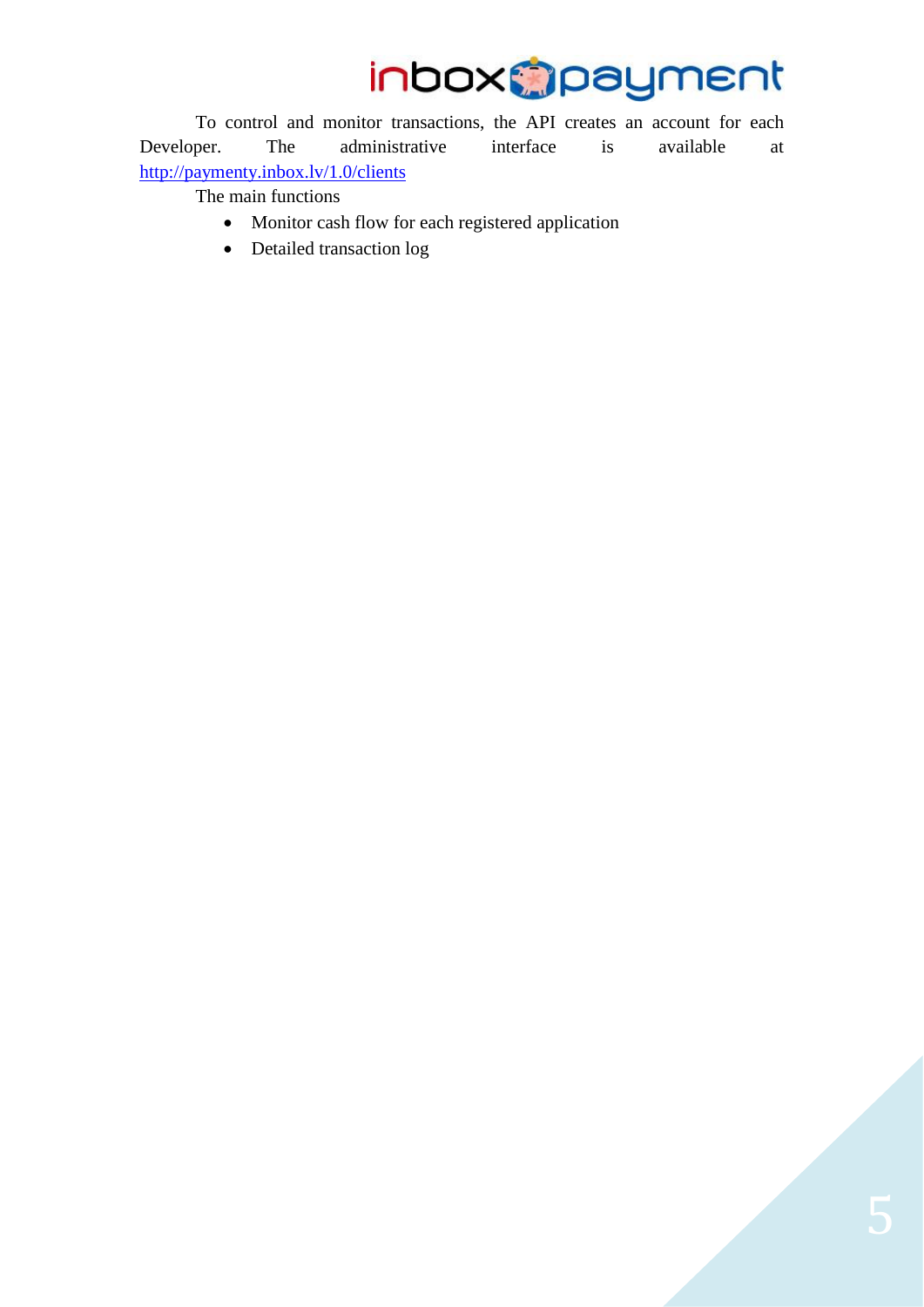To control and monitor transactions, the API creates an account for each Developer. The administrative interface is available at <http://paymenty.inbox.lv/1.0/clients>

The main functions

- Monitor cash flow for each registered application
- Detailed transaction log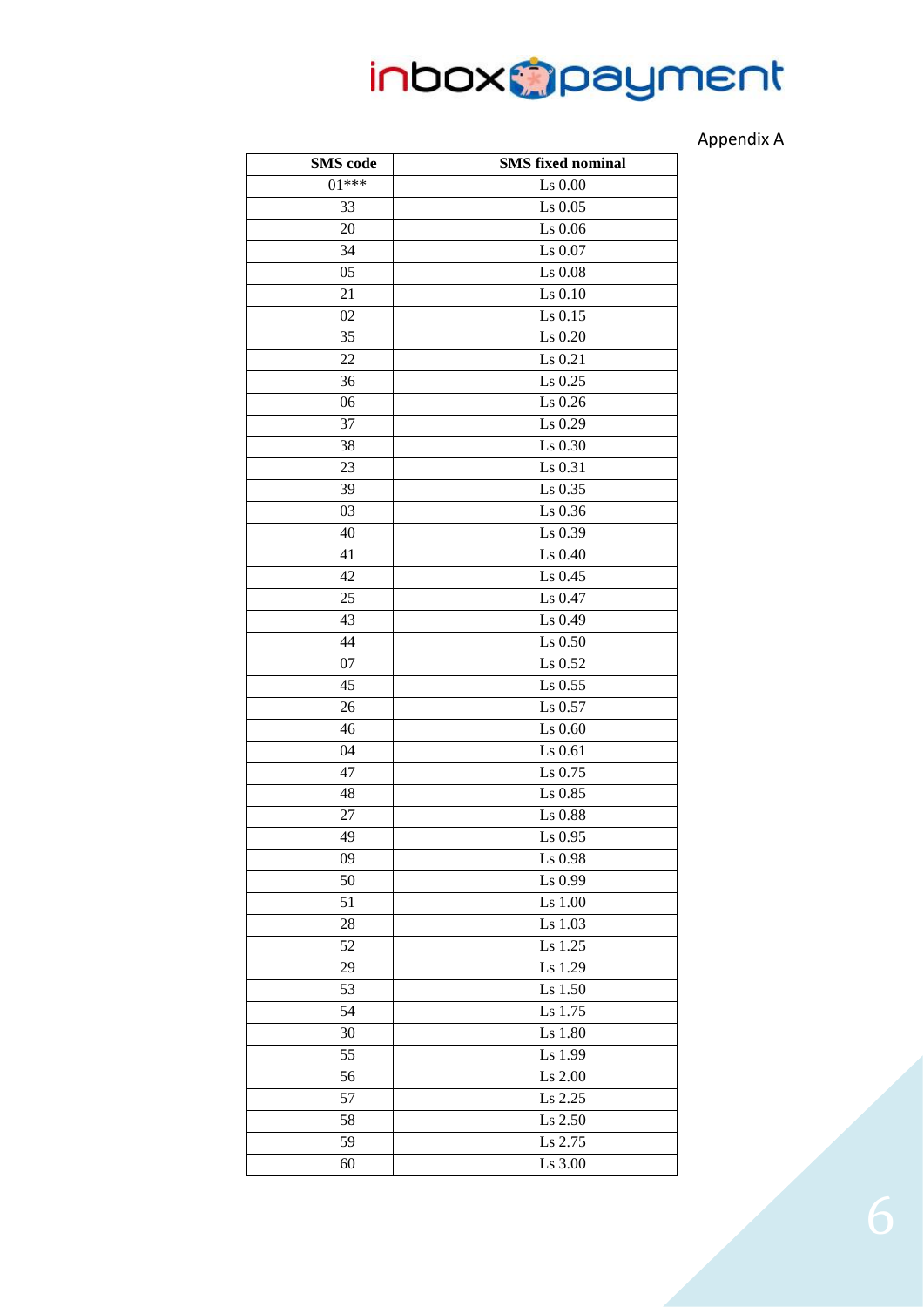#### Appendix A

<span id="page-5-0"></span>

| <b>SMS</b> code | <b>SMS</b> fixed nominal |
|-----------------|--------------------------|
| $01***$         | $Ls$ 0.00                |
| 33              | Ls 0.05                  |
| 20              | Ls 0.06                  |
| 34              | Ls 0.07                  |
| 05              | Ls 0.08                  |
| 21              | Ls $0.10$                |
| 02              | Ls 0.15                  |
| 35              | Ls 0.20                  |
| 22              | Ls 0.21                  |
| 36              | Ls 0.25                  |
| 06              | Ls 0.26                  |
| 37              | Ls 0.29                  |
| 38              | Ls 0.30                  |
| 23              | Ls 0.31                  |
| 39              | Ls 0.35                  |
| 03              | Ls 0.36                  |
| 40              | Ls 0.39                  |
| 41              | Ls 0.40                  |
| 42              | $Ls$ 0.45                |
| 25              | Ls 0.47                  |
| 43              | Ls 0.49                  |
| 44              | $Ls$ 0.50                |
| 07              | Ls 0.52                  |
| 45              | Ls 0.55                  |
| 26              | Ls 0.57                  |
| 46              | Ls 0.60                  |
| 04              | Ls 0.61                  |
| 47              | Ls 0.75                  |
| 48              | Ls 0.85                  |
| 27              | Ls 0.88                  |
| 49              | $\text{Ls}$ 0.95         |
| 09              | Ls 0.98                  |
| 50              | Ls 0.99                  |
| 51              | Ls 1.00                  |
| 28              | Ls 1.03                  |
| 52              | Ls 1.25                  |
| 29              | Ls 1.29                  |
| 53              | Ls 1.50                  |
| 54              | Ls 1.75                  |
| 30              | Ls 1.80                  |
| 55              | Ls 1.99                  |
| 56              | Ls 2.00                  |
| 57              | Ls 2.25                  |
| 58              | Ls 2.50                  |
| 59              | Ls 2.75                  |
| 60              | Ls 3.00                  |